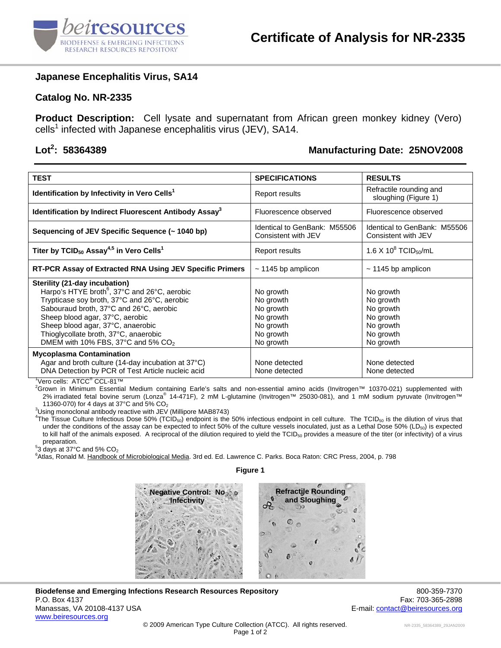

#### **Japanese Encephalitis Virus, SA14**

#### **Catalog No. NR-2335**

**Product Description:** Cell lysate and supernatant from African green monkey kidney (Vero)  $\text{cells}^1$  infected with Japanese encephalitis virus (JEV), SA14.

# Lot<sup>2</sup>: 58364389

## **: 58364389 Manufacturing Date: 25NOV2008**

| <b>TEST</b>                                                                                                                                                                                                                                                                                                                                             | <b>SPECIFICATIONS</b>                                                                   | <b>RESULTS</b>                                                                          |
|---------------------------------------------------------------------------------------------------------------------------------------------------------------------------------------------------------------------------------------------------------------------------------------------------------------------------------------------------------|-----------------------------------------------------------------------------------------|-----------------------------------------------------------------------------------------|
| Identification by Infectivity in Vero Cells <sup>1</sup>                                                                                                                                                                                                                                                                                                | Report results                                                                          | Refractile rounding and<br>sloughing (Figure 1)                                         |
| Identification by Indirect Fluorescent Antibody Assay <sup>3</sup>                                                                                                                                                                                                                                                                                      | Fluorescence observed                                                                   | Fluorescence observed                                                                   |
| Sequencing of JEV Specific Sequence (~ 1040 bp)                                                                                                                                                                                                                                                                                                         | Identical to GenBank: M55506<br>Consistent with JEV                                     | Identical to GenBank: M55506<br>Consistent with JEV                                     |
| Titer by TCID <sub>50</sub> Assay <sup>4,5</sup> in Vero Cells <sup>1</sup>                                                                                                                                                                                                                                                                             | Report results                                                                          | 1.6 X 10 $^{8}$ TCID <sub>50</sub> /mL                                                  |
| RT-PCR Assay of Extracted RNA Using JEV Specific Primers                                                                                                                                                                                                                                                                                                | $\sim$ 1145 bp amplicon                                                                 | $\sim$ 1145 bp amplicon                                                                 |
| Sterility (21-day incubation)<br>Harpo's HTYE broth <sup>6</sup> , 37°C and 26°C, aerobic<br>Trypticase soy broth, 37°C and 26°C, aerobic<br>Sabouraud broth, 37°C and 26°C, aerobic<br>Sheep blood agar, 37°C, aerobic<br>Sheep blood agar, 37°C, anaerobic<br>Thioglycollate broth, 37°C, anaerobic<br>DMEM with 10% FBS, 37°C and 5% CO <sub>2</sub> | No growth<br>No growth<br>No growth<br>No growth<br>No growth<br>No growth<br>No growth | No growth<br>No growth<br>No growth<br>No growth<br>No growth<br>No growth<br>No growth |
| <b>Mycoplasma Contamination</b><br>Agar and broth culture (14-day incubation at 37°C)<br>DNA Detection by PCR of Test Article nucleic acid<br>$\frac{1}{1}$ <i>lere seller</i> $\Lambda T$ CC <sup>®</sup> CCL 04TM                                                                                                                                     | None detected<br>None detected                                                          | None detected<br>None detected                                                          |

<sup>1</sup>Vero cells: ATCC<sup>®</sup> CCL-81™<br><sup>2</sup>Creum in Minimum Fecential

Grown in Minimum Essential Medium containing Earle's salts and non-essential amino acids (Invitrogen™ 10370-021) supplemented with 2% irradiated fetal bovine serum (Lonza® 14-471F), 2 mM L-glutamine (Invitrogen™ 25030-081), and 1 mM sodium pyruvate (Invitrogen™ 11360-070) for 4 days at 37°C and  $5\%$  CO<sub>2</sub>

 $3$ Using monoclonal antibody reactive with JEV (Millipore MAB8743)

The Tissue Culture Infectious Dose 50% (TCID<sub>50</sub>) endpoint is the 50% infectious endpoint in cell culture. The TCID<sub>50</sub> is the dilution of virus that under the conditions of the assay can be expected to infect 50% of the culture vessels inoculated, just as a Lethal Dose 50% (LD<sub>50</sub>) is expected to kill half of the animals exposed. A reciprocal of the dilution required to yield the  $TCID_{50}$  provides a measure of the titer (or infectivity) of a virus preparation.

 $53$  days at 37°C and 5% CO<sub>2</sub>

<sup>6</sup>Atlas, Ronald M. Handbook of Microbiological Media. 3rd ed. Ed. [Lawrence C. Parks.](http://www.amazon.com/exec/obidos/search-handle-url/index=books&field-author-exact=Lawrence%20C.%20Parks/104-1274331-9818336) Boca Raton: CRC Press, 2004, p. 798



#### **Biodefense and Emerging Infections Research Resources Repository <b>800-359-7370** 800-359-7370 P.O. Box 4137 Fax: 703-365-2898 Manassas, VA 20108-4137 USA E-mail: contact@beiresources.org www.beiresources.org

a